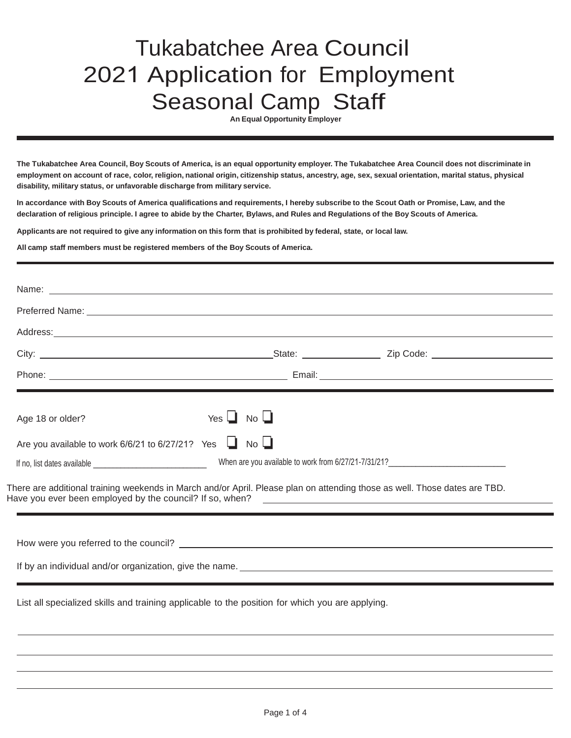## Tukabatchee Area Council 2021 Application for Employment Seasonal Camp Staff

**An Equal Opportunity Employer**

**The Tukabatchee Area Council, Boy Scouts of America, is an equal opportunity employer. The Tukabatchee Area Council does not discriminate in** employment on account of race, color, religion, national origin, citizenship status, ancestry, age, sex, sexual orientation, marital status, physical **disability, military status, or unfavorable discharge from military service.**

In accordance with Boy Scouts of America qualifications and requirements, I hereby subscribe to the Scout Oath or Promise, Law, and the declaration of religious principle. I agree to abide by the Charter, Bylaws, and Rules and Regulations of the Boy Scouts of America.

Applicants are not required to give any information on this form that is prohibited by federal, state, or local law.

**All camp staff members must be registered members of the Boy Scouts of America.**

|                                                                        | Address: Andreas Address: Address: Address: Address: Address: Address: Address: Address: Address: Address: Address: Address: Address: Address: Address: Address: Address: Address: Address: Address: Address: Address: Address                                                                                                                               |
|------------------------------------------------------------------------|--------------------------------------------------------------------------------------------------------------------------------------------------------------------------------------------------------------------------------------------------------------------------------------------------------------------------------------------------------------|
|                                                                        |                                                                                                                                                                                                                                                                                                                                                              |
|                                                                        |                                                                                                                                                                                                                                                                                                                                                              |
| Age 18 or older?                                                       | Yes $\Box$ No $\Box$                                                                                                                                                                                                                                                                                                                                         |
| Are you available to work $6/6/21$ to $6/27/21$ ? Yes $\Box$ No $\Box$ |                                                                                                                                                                                                                                                                                                                                                              |
|                                                                        |                                                                                                                                                                                                                                                                                                                                                              |
|                                                                        |                                                                                                                                                                                                                                                                                                                                                              |
|                                                                        |                                                                                                                                                                                                                                                                                                                                                              |
|                                                                        | There are additional training weekends in March and/or April. Please plan on attending those as well. Those dates are TBD.<br>If by an individual and/or organization, give the name. Letter and the state of the state of the state of the state of the state of the state of the state of the state of the state of the state of the state of the state of |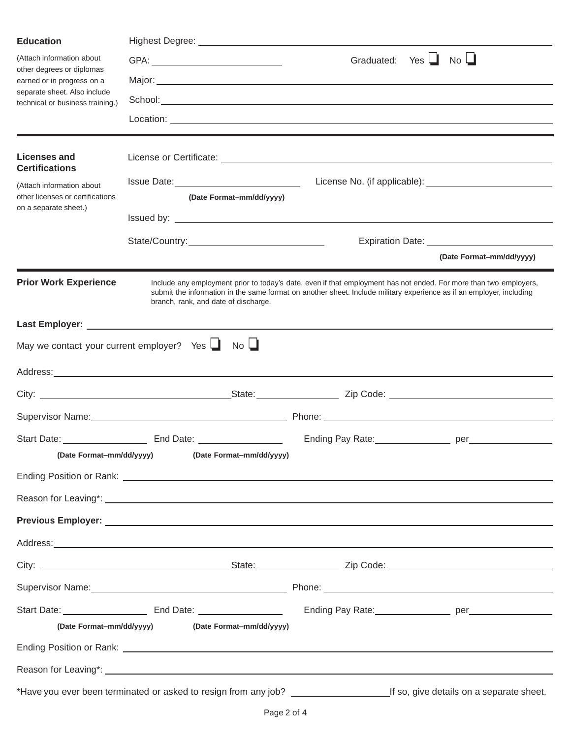| <b>Education</b>                                                                                                                                         |                                                                                                                                                                                                                                                                                   |                       |                                                |  |  |  |
|----------------------------------------------------------------------------------------------------------------------------------------------------------|-----------------------------------------------------------------------------------------------------------------------------------------------------------------------------------------------------------------------------------------------------------------------------------|-----------------------|------------------------------------------------|--|--|--|
| (Attach information about<br>other degrees or diplomas<br>earned or in progress on a<br>separate sheet. Also include<br>technical or business training.) |                                                                                                                                                                                                                                                                                   | Graduated: Yes $\Box$ | $No$ $\Box$                                    |  |  |  |
|                                                                                                                                                          |                                                                                                                                                                                                                                                                                   |                       |                                                |  |  |  |
|                                                                                                                                                          |                                                                                                                                                                                                                                                                                   |                       |                                                |  |  |  |
|                                                                                                                                                          |                                                                                                                                                                                                                                                                                   |                       |                                                |  |  |  |
| <b>Licenses and</b>                                                                                                                                      |                                                                                                                                                                                                                                                                                   |                       |                                                |  |  |  |
| <b>Certifications</b><br>(Attach information about<br>other licenses or certifications                                                                   |                                                                                                                                                                                                                                                                                   |                       |                                                |  |  |  |
|                                                                                                                                                          | (Date Format-mm/dd/yyyy)                                                                                                                                                                                                                                                          |                       |                                                |  |  |  |
| on a separate sheet.)                                                                                                                                    |                                                                                                                                                                                                                                                                                   |                       |                                                |  |  |  |
|                                                                                                                                                          |                                                                                                                                                                                                                                                                                   |                       | Expiration Date: _____________________________ |  |  |  |
|                                                                                                                                                          |                                                                                                                                                                                                                                                                                   |                       | (Date Format-mm/dd/yyyy)                       |  |  |  |
| <b>Prior Work Experience</b>                                                                                                                             | Include any employment prior to today's date, even if that employment has not ended. For more than two employers,<br>submit the information in the same format on another sheet. Include military experience as if an employer, including<br>branch, rank, and date of discharge. |                       |                                                |  |  |  |
|                                                                                                                                                          |                                                                                                                                                                                                                                                                                   |                       |                                                |  |  |  |
| May we contact your current employer? Yes $\Box$                                                                                                         | $No$ $\Box$                                                                                                                                                                                                                                                                       |                       |                                                |  |  |  |
|                                                                                                                                                          |                                                                                                                                                                                                                                                                                   |                       |                                                |  |  |  |
|                                                                                                                                                          |                                                                                                                                                                                                                                                                                   |                       |                                                |  |  |  |
|                                                                                                                                                          | Supervisor Name: <u>contract and contract and contract and contract and contract and contract and contract and contract and contract and contract and contract and contract and contract and contract and contract and contract </u>                                              |                       |                                                |  |  |  |
|                                                                                                                                                          |                                                                                                                                                                                                                                                                                   |                       |                                                |  |  |  |
| (Date Format-mm/dd/yyyy)                                                                                                                                 | (Date Format-mm/dd/yyyy)                                                                                                                                                                                                                                                          |                       |                                                |  |  |  |
|                                                                                                                                                          |                                                                                                                                                                                                                                                                                   |                       |                                                |  |  |  |
|                                                                                                                                                          | Reason for Leaving*: <u>example and the set of the set of the set of the set of the set of the set of the set of the set of the set of the set of the set of the set of the set of the set of the set of the set of the set of t</u>                                              |                       |                                                |  |  |  |
|                                                                                                                                                          |                                                                                                                                                                                                                                                                                   |                       |                                                |  |  |  |
|                                                                                                                                                          | Address: Address: Address: Address: Address: Address: Address: Address: Address: Address: Address: Address: Address: Address: Address: Address: Address: Address: Address: Address: Address: Address: Address: Address: Addres                                                    |                       |                                                |  |  |  |
|                                                                                                                                                          |                                                                                                                                                                                                                                                                                   |                       |                                                |  |  |  |
|                                                                                                                                                          | Supervisor Name: 1990 Manual Communication of Phone: 2008 Manual Communication of Phone: 2008 Manual Communication of Phone: 2008 Manual Communication of Phone: 2008 Manual Communication of Phone: 2008 Manual Communication                                                    |                       |                                                |  |  |  |
|                                                                                                                                                          |                                                                                                                                                                                                                                                                                   |                       |                                                |  |  |  |
| (Date Format-mm/dd/yyyy)                                                                                                                                 | (Date Format-mm/dd/yyyy)                                                                                                                                                                                                                                                          |                       |                                                |  |  |  |
|                                                                                                                                                          |                                                                                                                                                                                                                                                                                   |                       |                                                |  |  |  |
|                                                                                                                                                          |                                                                                                                                                                                                                                                                                   |                       |                                                |  |  |  |
|                                                                                                                                                          |                                                                                                                                                                                                                                                                                   |                       |                                                |  |  |  |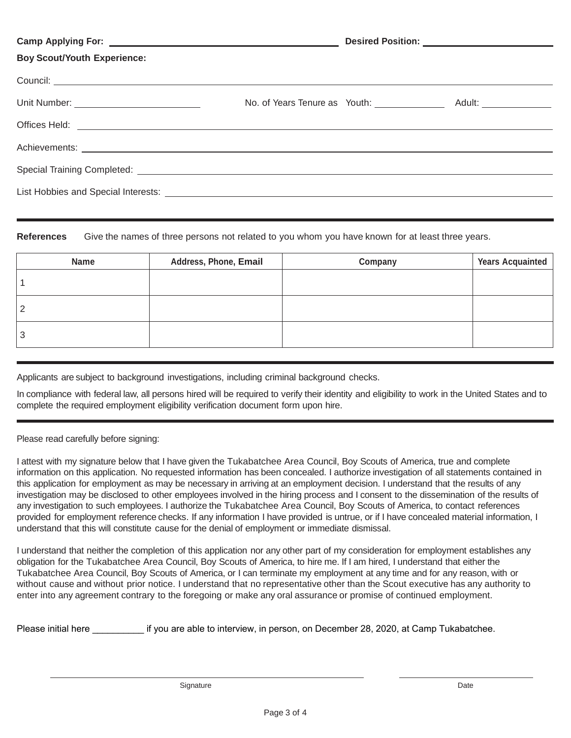|                                                                                                                             |  | Desired Position: __________________________ |  |
|-----------------------------------------------------------------------------------------------------------------------------|--|----------------------------------------------|--|
| <b>Boy Scout/Youth Experience:</b>                                                                                          |  |                                              |  |
|                                                                                                                             |  |                                              |  |
|                                                                                                                             |  |                                              |  |
|                                                                                                                             |  |                                              |  |
|                                                                                                                             |  |                                              |  |
| Special Training Completed: <u>contract the contract of the contract of the contract of the contract of the contract of</u> |  |                                              |  |
|                                                                                                                             |  |                                              |  |
|                                                                                                                             |  |                                              |  |

**References** Give the names of three persons not related to you whom you have known for at least three years.

| <b>Name</b> | Address, Phone, Email | Company | <b>Years Acquainted</b> |
|-------------|-----------------------|---------|-------------------------|
|             |                       |         |                         |
| າ           |                       |         |                         |
| - 2         |                       |         |                         |

Applicants are subject to background investigations, including criminal background checks.

In compliance with federal law, all persons hired will be required to verify their identity and eligibility to work in the United States and to complete the required employment eligibility verification document form upon hire.

Please read carefully before signing:

I attest with my signature below that I have given the Tukabatchee Area Council, Boy Scouts of America, true and complete information on this application. No requested information has been concealed. I authorize investigation of all statements contained in this application for employment as may be necessary in arriving at an employment decision. I understand that the results of any investigation may be disclosed to other employees involved in the hiring process and I consent to the dissemination of the results of any investigation to such employees. I authorize the Tukabatchee Area Council, Boy Scouts of America, to contact references provided for employment reference checks. If any information I have provided is untrue, or if I have concealed material information, I understand that this will constitute cause for the denial of employment or immediate dismissal.

I understand that neither the completion of this application nor any other part of my consideration for employment establishes any obligation for the Tukabatchee Area Council, Boy Scouts of America, to hire me. If I am hired, I understand that either the Tukabatchee Area Council, Boy Scouts of America, or I can terminate my employment at any time and for any reason, with or without cause and without prior notice. I understand that no representative other than the Scout executive has any authority to enter into any agreement contrary to the foregoing or make any oral assurance or promise of continued employment.

Please initial here **the interpret if you are able to interview**, in person, on December 28, 2020, at Camp Tukabatchee.